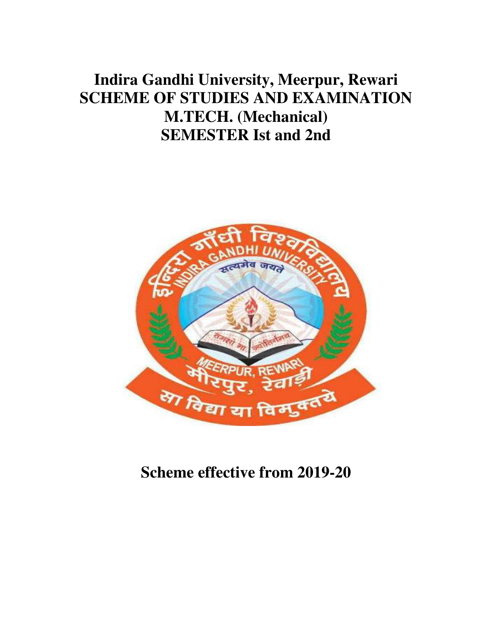# **Indira Gandhi University, Meerpur, Rewari SCHEME OF STUDIES AND EXAMINATION M.TECH. (Mechanical) SEMESTER Ist and 2nd**



**Scheme effective from 2019-20**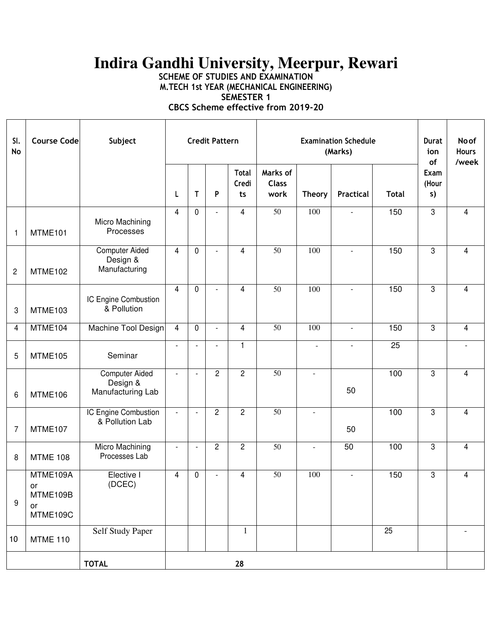# **Indira Gandhi University, Meerpur, Rewari**

**SCHEME OF STUDIES AND EXAMINATION M.TECH 1st YEAR (MECHANICAL ENGINEERING)** 

**SEMESTER 1** 

**CBCS Scheme effective from 2019-20** 

| SI.<br><b>No</b> | <b>Course Code</b>                           | Subject                                                | <b>Credit Pattern</b>    |                          |                          |                             |                                  | <b>Durat</b><br>ion<br>of | <b>No of</b><br><b>Hours</b><br>/week |              |                     |                |
|------------------|----------------------------------------------|--------------------------------------------------------|--------------------------|--------------------------|--------------------------|-----------------------------|----------------------------------|---------------------------|---------------------------------------|--------------|---------------------|----------------|
|                  |                                              |                                                        | L                        | Τ                        | $\, {\sf P}$             | <b>Total</b><br>Credi<br>ts | Marks of<br><b>Class</b><br>work | <b>Theory</b>             | Practical                             | <b>Total</b> | Exam<br>(Hour<br>s) |                |
| $\mathbf{1}$     | MTME101                                      | Micro Machining<br>Processes                           | 4                        | 0                        | $\blacksquare$           | 4                           | $\overline{50}$                  | 100                       |                                       | 150          | $\overline{3}$      | $\overline{4}$ |
| $\overline{c}$   | MTME102                                      | <b>Computer Aided</b><br>Design &<br>Manufacturing     | $\overline{4}$           | 0                        | $\overline{\phantom{a}}$ | 4                           | $\overline{50}$                  | 100                       | $\overline{\phantom{a}}$              | 150          | $\overline{3}$      | $\overline{4}$ |
| 3                | MTME103                                      | IC Engine Combustion<br>& Pollution                    | $\overline{4}$           | 0                        | $\overline{a}$           | 4                           | $\overline{50}$                  | 100                       | $\blacksquare$                        | 150          | 3                   | $\overline{4}$ |
| 4                | MTME104                                      | Machine Tool Design                                    | $\overline{4}$           | 0                        | $\overline{\phantom{a}}$ | 4                           | $\overline{50}$                  | 100                       | $\overline{\phantom{a}}$              | 150          | $\mathbf{3}$        | $\overline{4}$ |
| 5                | MTME105                                      | Seminar                                                |                          |                          |                          | $\mathbf{1}$                |                                  | $\overline{\phantom{a}}$  | $\overline{a}$                        | 25           |                     |                |
| 6                | MTME106                                      | <b>Computer Aided</b><br>Design &<br>Manufacturing Lab | $\blacksquare$           | $\overline{\phantom{a}}$ | $\overline{c}$           | $\overline{c}$              | 50                               | $\blacksquare$            | 50                                    | 100          | 3                   | 4              |
| $\overline{7}$   | MTME107                                      | IC Engine Combustion<br>& Pollution Lab                | $\overline{\phantom{a}}$ | $\overline{\phantom{a}}$ | $\overline{c}$           | $\overline{c}$              | $\overline{50}$                  | $\blacksquare$            | 50                                    | 100          | 3                   | 4              |
| 8                | <b>MTME 108</b>                              | Micro Machining<br>Processes Lab                       | $\overline{a}$           | $\overline{\phantom{a}}$ | $\overline{c}$           | $\overline{c}$              | $\overline{50}$                  | $\blacksquare$            | 50                                    | 100          | 3                   | 4              |
| 9                | MTME109A<br>or<br>MTME109B<br>or<br>MTME109C | Elective I<br>(DCEC)                                   | $\overline{4}$           | 0                        | $\blacksquare$           | 4                           | $\overline{50}$                  | 100                       | $\overline{\phantom{a}}$              | 150          | 3                   | 4              |
| 10               | <b>MTME 110</b>                              | <b>Self Study Paper</b>                                |                          |                          |                          | $\mathbf{1}$                |                                  |                           |                                       | 25           |                     |                |
|                  |                                              | <b>TOTAL</b>                                           |                          |                          |                          | 28                          |                                  |                           |                                       |              |                     |                |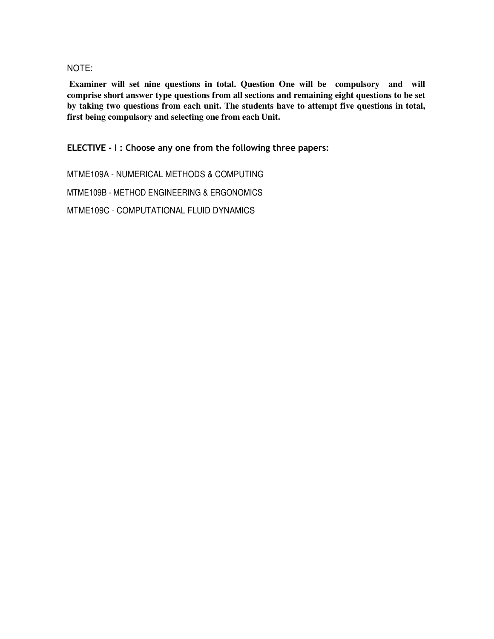#### NOTE:

**Examiner will set nine questions in total. Question One will be compulsory and will comprise short answer type questions from all sections and remaining eight questions to be set by taking two questions from each unit. The students have to attempt five questions in total, first being compulsory and selecting one from each Unit.** 

**ELECTIVE - I : Choose any one from the following three papers:** 

MTME109A - NUMERICAL METHODS & COMPUTING

MTME109B - METHOD ENGINEERING & ERGONOMICS

MTME109C - COMPUTATIONAL FLUID DYNAMICS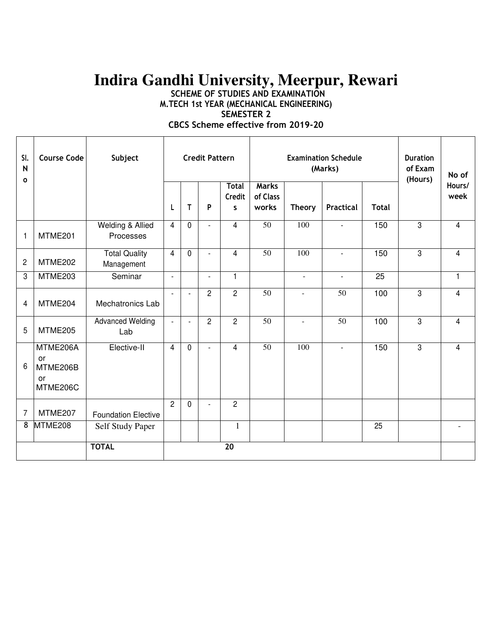# **Indira Gandhi University, Meerpur, Rewari**

**SCHEME OF STUDIES AND EXAMINATION M.TECH 1st YEAR (MECHANICAL ENGINEERING)** 

**SEMESTER 2** 

**CBCS Scheme effective from 2019-20** 

| SI.<br>N<br>$\Omega$ | <b>Course Code</b>                           | Subject                                  | <b>Credit Pattern</b> |                |                |                             |                                   | <b>Examination Schedule</b><br>(Marks) | <b>Duration</b><br>of Exam<br>(Hours) | No of        |                |                         |
|----------------------|----------------------------------------------|------------------------------------------|-----------------------|----------------|----------------|-----------------------------|-----------------------------------|----------------------------------------|---------------------------------------|--------------|----------------|-------------------------|
|                      |                                              |                                          | L                     | T              | P              | <b>Total</b><br>Credit<br>S | <b>Marks</b><br>of Class<br>works | <b>Theory</b>                          | <b>Practical</b>                      | <b>Total</b> |                | Hours/<br>week          |
| 1                    | MTME201                                      | <b>Welding &amp; Allied</b><br>Processes | $\overline{4}$        | $\mathbf 0$    |                | $\overline{4}$              | $\overline{50}$                   | 100                                    |                                       | 150          | $\overline{3}$ | $\overline{\mathbf{4}}$ |
| 2                    | MTME202                                      | <b>Total Quality</b><br>Management       | $\overline{4}$        | $\mathbf{0}$   | $\overline{a}$ | $\overline{4}$              | $\overline{50}$                   | 100                                    | $\blacksquare$                        | 150          | $\overline{3}$ | $\overline{4}$          |
| 3                    | MTME203                                      | Seminar                                  | $\overline{a}$        |                |                | $\mathbf{1}$                |                                   | $\overline{\phantom{a}}$               | $\blacksquare$                        | 25           |                | $\mathbf{1}$            |
| 4                    | MTME204                                      | Mechatronics Lab                         |                       | $\blacksquare$ | $\overline{c}$ | $\overline{2}$              | $\overline{50}$                   |                                        | $\overline{50}$                       | 100          | 3              | 4                       |
| 5                    | MTME205                                      | <b>Advanced Welding</b><br>Lab           | $\overline{a}$        | $\blacksquare$ | $\overline{2}$ | $\overline{2}$              | $\overline{50}$                   | $\mathbf{r}$                           | $\overline{50}$                       | 100          | 3              | $\overline{4}$          |
| 6                    | MTME206A<br>or<br>MTME206B<br>or<br>MTME206C | Elective-II                              | $\overline{4}$        | $\mathbf 0$    | $\overline{a}$ | 4                           | $\overline{50}$                   | 100                                    | $\overline{a}$                        | 150          | 3              | $\overline{4}$          |
| 7                    | MTME207                                      | <b>Foundation Elective</b>               | $\overline{2}$        | $\mathbf 0$    |                | $\overline{2}$              |                                   |                                        |                                       |              |                |                         |
| 8                    | MTME208                                      | Self Study Paper                         |                       |                |                | $\mathbf{1}$                |                                   |                                        |                                       | 25           |                |                         |
|                      |                                              | <b>TOTAL</b>                             |                       |                |                | 20                          |                                   |                                        |                                       |              |                |                         |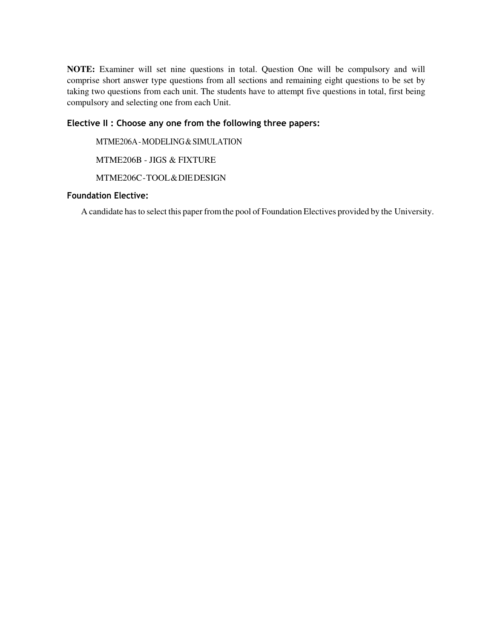**NOTE:** Examiner will set nine questions in total. Question One will be compulsory and will comprise short answer type questions from all sections and remaining eight questions to be set by taking two questions from each unit. The students have to attempt five questions in total, first being compulsory and selecting one from each Unit.

## **Elective II : Choose any one from the following three papers:**

MTME206A - MODELING & SIMULATION

MTME206B - JIGS & FIXTURE

MTME206C - TOOL & DIE DESIGN

#### **Foundation Elective:**

A candidate has to select this paper from the pool of Foundation Electives provided by the University.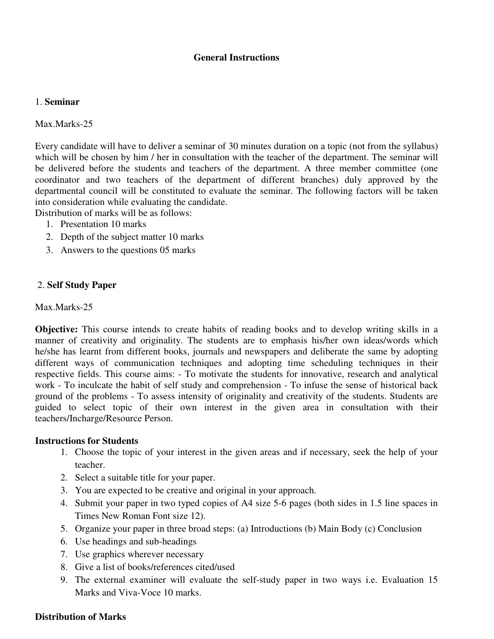## **General Instructions**

#### 1. **Seminar**

Max.Marks-25

Every candidate will have to deliver a seminar of 30 minutes duration on a topic (not from the syllabus) which will be chosen by him / her in consultation with the teacher of the department. The seminar will be delivered before the students and teachers of the department. A three member committee (one coordinator and two teachers of the department of different branches) duly approved by the departmental council will be constituted to evaluate the seminar. The following factors will be taken into consideration while evaluating the candidate.

Distribution of marks will be as follows:

- 1. Presentation 10 marks
- 2. Depth of the subject matter 10 marks
- 3. Answers to the questions 05 marks

#### 2. **Self Study Paper**

Max.Marks-25

**Objective:** This course intends to create habits of reading books and to develop writing skills in a manner of creativity and originality. The students are to emphasis his/her own ideas/words which he/she has learnt from different books, journals and newspapers and deliberate the same by adopting different ways of communication techniques and adopting time scheduling techniques in their respective fields. This course aims: - To motivate the students for innovative, research and analytical work - To inculcate the habit of self study and comprehension - To infuse the sense of historical back ground of the problems - To assess intensity of originality and creativity of the students. Students are guided to select topic of their own interest in the given area in consultation with their teachers/Incharge/Resource Person.

#### **Instructions for Students**

- 1. Choose the topic of your interest in the given areas and if necessary, seek the help of your teacher.
- 2. Select a suitable title for your paper.
- 3. You are expected to be creative and original in your approach.
- 4. Submit your paper in two typed copies of A4 size 5-6 pages (both sides in 1.5 line spaces in Times New Roman Font size 12).
- 5. Organize your paper in three broad steps: (a) Introductions (b) Main Body (c) Conclusion
- 6. Use headings and sub-headings
- 7. Use graphics wherever necessary
- 8. Give a list of books/references cited/used
- 9. The external examiner will evaluate the self-study paper in two ways i.e. Evaluation 15 Marks and Viva-Voce 10 marks.

#### **Distribution of Marks**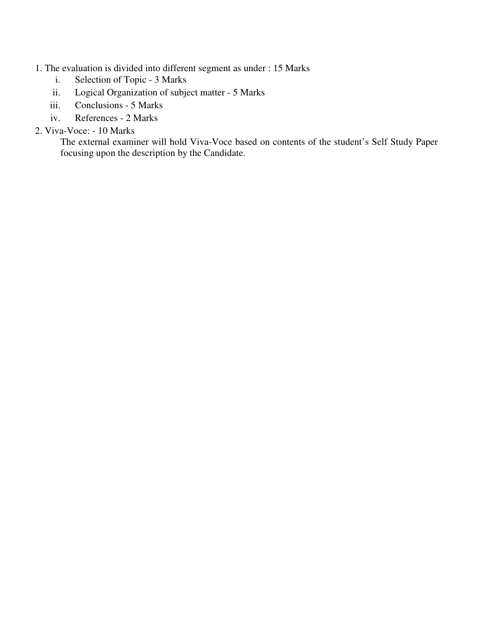# 1. The evaluation is divided into different segment as under : 15 Marks

- i. Selection of Topic 3 Marks
- ii. Logical Organization of subject matter 5 Marks
- iii. Conclusions 5 Marks
- iv. References 2 Marks

# 2. Viva-Voce: - 10 Marks

The external examiner will hold Viva-Voce based on contents of the student's Self Study Paper focusing upon the description by the Candidate.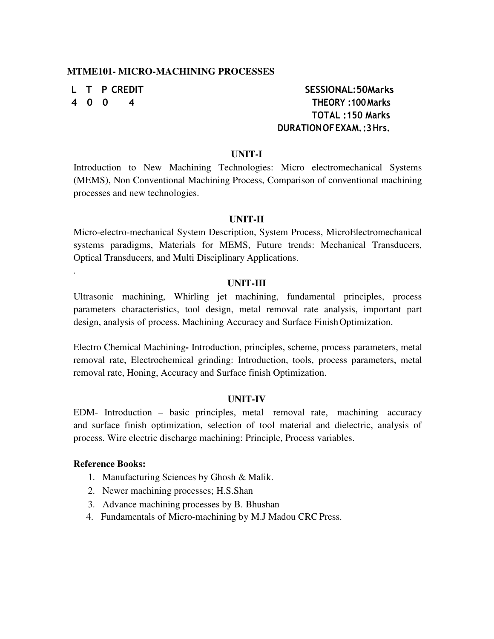#### **MTME101- MICRO-MACHINING PROCESSES**

.

# **L T P CREDIT SESSIONAL:50Marks 4 0 0 4 THEORY :100 Marks TOTAL :150 Marks DURATION OF EXAM. :3 Hrs.**

#### **UNIT-I**

Introduction to New Machining Technologies: Micro electromechanical Systems (MEMS), Non Conventional Machining Process, Comparison of conventional machining processes and new technologies.

#### **UNIT-II**

Micro-electro-mechanical System Description, System Process, MicroElectromechanical systems paradigms, Materials for MEMS, Future trends: Mechanical Transducers, Optical Transducers, and Multi Disciplinary Applications.

#### **UNIT-III**

Ultrasonic machining, Whirling jet machining, fundamental principles, process parameters characteristics, tool design, metal removal rate analysis, important part design, analysis of process. Machining Accuracy and Surface Finish Optimization.

Electro Chemical Machining**-** Introduction, principles, scheme, process parameters, metal removal rate, Electrochemical grinding: Introduction, tools, process parameters, metal removal rate, Honing, Accuracy and Surface finish Optimization.

#### **UNIT-IV**

EDM- Introduction – basic principles, metal removal rate, machining accuracy and surface finish optimization, selection of tool material and dielectric, analysis of process. Wire electric discharge machining: Principle, Process variables.

#### **Reference Books:**

- 1. Manufacturing Sciences by Ghosh & Malik.
- 2. Newer machining processes; H.S.Shan
- 3. Advance machining processes by B. Bhushan
- 4. Fundamentals of Micro-machining by M.J Madou CRC Press.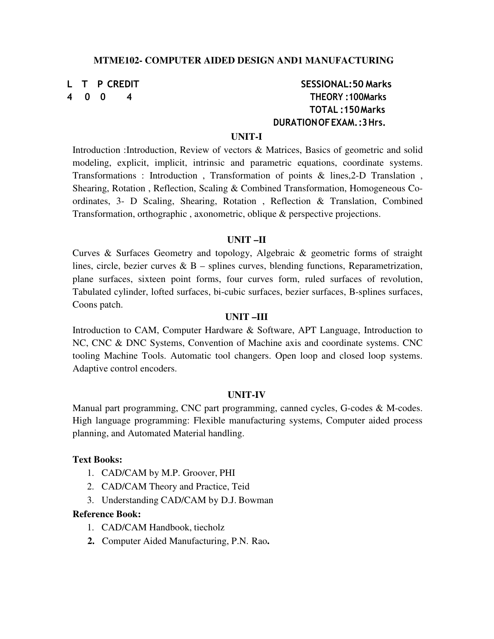#### **MTME102- COMPUTER AIDED DESIGN AND1 MANUFACTURING**

# **L T P CREDIT SESSIONAL:50 Marks 4 0 0 4 THEORY :100Marks TOTAL :150 Marks DURATION OF EXAM. :3 Hrs.**

#### **UNIT-I**

Introduction :Introduction, Review of vectors & Matrices, Basics of geometric and solid modeling, explicit, implicit, intrinsic and parametric equations, coordinate systems. Transformations : Introduction , Transformation of points & lines,2-D Translation , Shearing, Rotation , Reflection, Scaling & Combined Transformation, Homogeneous Coordinates, 3- D Scaling, Shearing, Rotation , Reflection & Translation, Combined Transformation, orthographic , axonometric, oblique & perspective projections.

#### **UNIT –II**

Curves & Surfaces Geometry and topology, Algebraic & geometric forms of straight lines, circle, bezier curves  $\& B$  – splines curves, blending functions, Reparametrization, plane surfaces, sixteen point forms, four curves form, ruled surfaces of revolution, Tabulated cylinder, lofted surfaces, bi-cubic surfaces, bezier surfaces, B-splines surfaces, Coons patch.

#### **UNIT –III**

Introduction to CAM, Computer Hardware & Software, APT Language, Introduction to NC, CNC & DNC Systems, Convention of Machine axis and coordinate systems. CNC tooling Machine Tools. Automatic tool changers. Open loop and closed loop systems. Adaptive control encoders.

#### **UNIT-IV**

Manual part programming, CNC part programming, canned cycles, G-codes & M-codes. High language programming: Flexible manufacturing systems, Computer aided process planning, and Automated Material handling.

#### **Text Books:**

- 1. CAD/CAM by M.P. Groover, PHI
- 2. CAD/CAM Theory and Practice, Teid
- 3. Understanding CAD/CAM by D.J. Bowman

#### **Reference Book:**

- 1. CAD/CAM Handbook, tiecholz
- **2.** Computer Aided Manufacturing, P.N. Rao**.**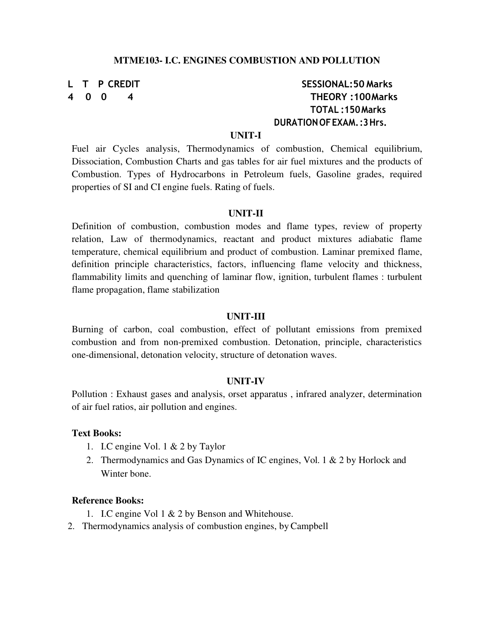# **L T P CREDIT SESSIONAL:50 Marks 4 0 0 4 THEORY :100 Marks TOTAL :150 Marks DURATION OF EXAM. :3 Hrs.**

### **UNIT-I**

Fuel air Cycles analysis, Thermodynamics of combustion, Chemical equilibrium, Dissociation, Combustion Charts and gas tables for air fuel mixtures and the products of Combustion. Types of Hydrocarbons in Petroleum fuels, Gasoline grades, required properties of SI and CI engine fuels. Rating of fuels.

#### **UNIT-II**

Definition of combustion, combustion modes and flame types, review of property relation, Law of thermodynamics, reactant and product mixtures adiabatic flame temperature, chemical equilibrium and product of combustion. Laminar premixed flame, definition principle characteristics, factors, influencing flame velocity and thickness, flammability limits and quenching of laminar flow, ignition, turbulent flames : turbulent flame propagation, flame stabilization

#### **UNIT-III**

Burning of carbon, coal combustion, effect of pollutant emissions from premixed combustion and from non-premixed combustion. Detonation, principle, characteristics one-dimensional, detonation velocity, structure of detonation waves.

#### **UNIT-IV**

Pollution : Exhaust gases and analysis, orset apparatus , infrared analyzer, determination of air fuel ratios, air pollution and engines.

#### **Text Books:**

- 1. I.C engine Vol. 1 & 2 by Taylor
- 2. Thermodynamics and Gas Dynamics of IC engines, Vol. 1 & 2 by Horlock and Winter bone.

#### **Reference Books:**

- 1. I.C engine Vol 1 & 2 by Benson and Whitehouse.
- 2. Thermodynamics analysis of combustion engines, by Campbell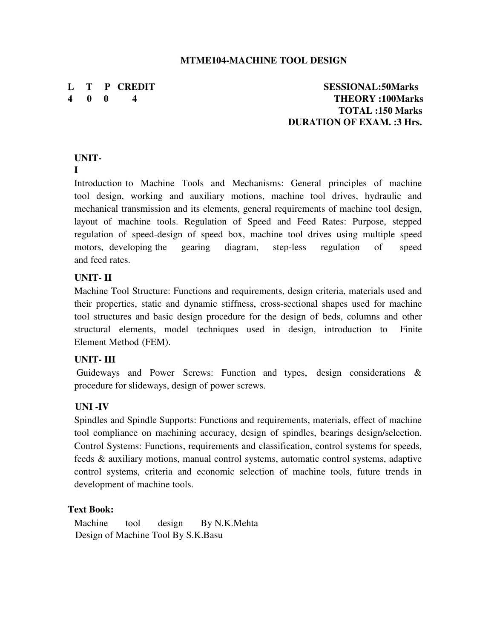### **MTME104-MACHINE TOOL DESIGN**

**L T P CREDIT SESSIONAL:50Marks 4 0 0 4 THEORY :100Marks TOTAL :150 Marks DURATION OF EXAM. :3 Hrs.**

# **UNIT-**

## **I**

Introduction to Machine Tools and Mechanisms: General principles of machine tool design, working and auxiliary motions, machine tool drives, hydraulic and mechanical transmission and its elements, general requirements of machine tool design, layout of machine tools. Regulation of Speed and Feed Rates: Purpose, stepped regulation of speed-design of speed box, machine tool drives using multiple speed motors, developing the gearing diagram, step-less regulation of speed and feed rates.

# **UNIT- II**

Machine Tool Structure: Functions and requirements, design criteria, materials used and their properties, static and dynamic stiffness, cross-sectional shapes used for machine tool structures and basic design procedure for the design of beds, columns and other structural elements, model techniques used in design, introduction to Finite Element Method (FEM).

# **UNIT- III**

Guideways and Power Screws: Function and types, design considerations & procedure for slideways, design of power screws.

# **UNI -IV**

Spindles and Spindle Supports: Functions and requirements, materials, effect of machine tool compliance on machining accuracy, design of spindles, bearings design/selection. Control Systems: Functions, requirements and classification, control systems for speeds, feeds & auxiliary motions, manual control systems, automatic control systems, adaptive control systems, criteria and economic selection of machine tools, future trends in development of machine tools.

# **Text Book:**

Machine tool design By N.K.Mehta Design of Machine Tool By S.K.Basu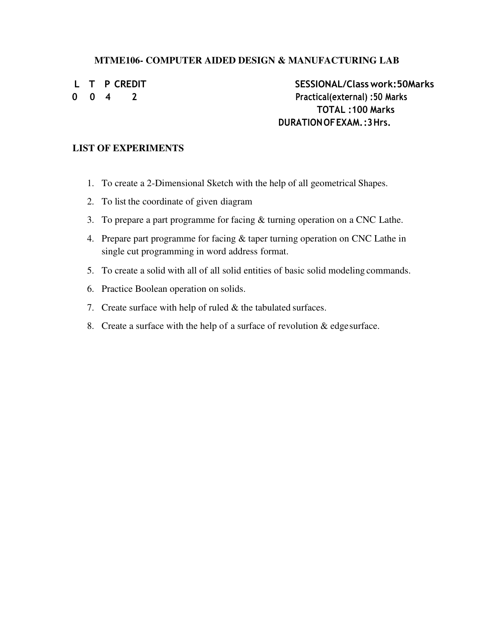## **MTME106- COMPUTER AIDED DESIGN & MANUFACTURING LAB**

**L T P CREDIT SESSIONAL/Class work:50Marks 0 0 4 2 Practical(external) :50 Marks TOTAL :100 Marks DURATION OF EXAM. :3 Hrs.**

### **LIST OF EXPERIMENTS**

- 1. To create a 2-Dimensional Sketch with the help of all geometrical Shapes.
- 2. To list the coordinate of given diagram
- 3. To prepare a part programme for facing & turning operation on a CNC Lathe.
- 4. Prepare part programme for facing & taper turning operation on CNC Lathe in single cut programming in word address format.
- 5. To create a solid with all of all solid entities of basic solid modeling commands.
- 6. Practice Boolean operation on solids.
- 7. Create surface with help of ruled & the tabulated surfaces.
- 8. Create a surface with the help of a surface of revolution  $&$  edge surface.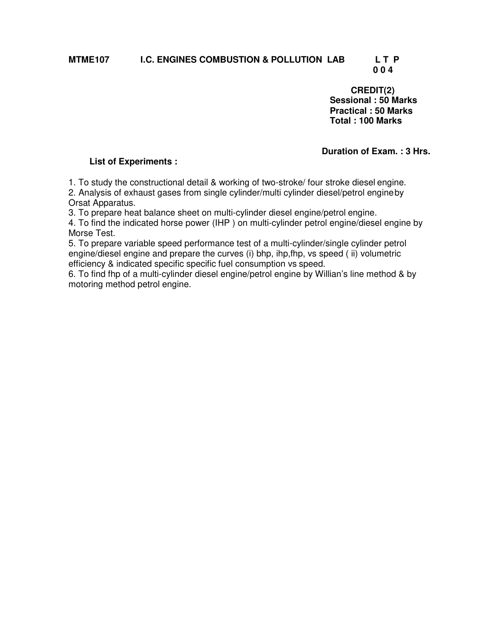# **MTME107 I.C. ENGINES COMBUSTION & POLLUTION LAB L T P**

# **0 0 4**

**CREDIT(2) Sessional : 50 Marks Practical : 50 Marks Total : 100 Marks** 

### **Duration of Exam. : 3 Hrs.**

#### **List of Experiments :**

1. To study the constructional detail & working of two-stroke/ four stroke diesel engine. 2. Analysis of exhaust gases from single cylinder/multi cylinder diesel/petrol engine by Orsat Apparatus.

3. To prepare heat balance sheet on multi-cylinder diesel engine/petrol engine.

4. To find the indicated horse power (IHP ) on multi-cylinder petrol engine/diesel engine by Morse Test.

5. To prepare variable speed performance test of a multi-cylinder/single cylinder petrol engine/diesel engine and prepare the curves (i) bhp, ihp,fhp, vs speed ( ii) volumetric efficiency & indicated specific specific fuel consumption vs speed.

6. To find fhp of a multi-cylinder diesel engine/petrol engine by Willian's line method & by motoring method petrol engine.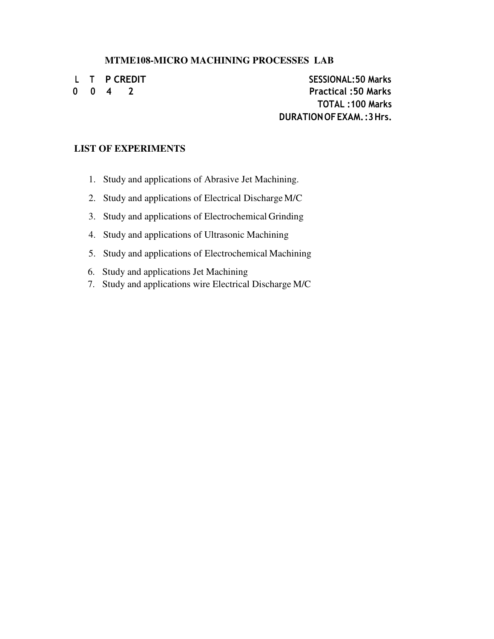#### **MTME108-MICRO MACHINING PROCESSES LAB**

**L T P CREDIT SESSIONAL:50 Marks 0 0 4 2 Practical :50 Marks TOTAL :100 Marks DURATION OF EXAM. :3 Hrs.**

# **LIST OF EXPERIMENTS**

- 1. Study and applications of Abrasive Jet Machining.
- 2. Study and applications of Electrical Discharge M/C
- 3. Study and applications of Electrochemical Grinding
- 4. Study and applications of Ultrasonic Machining
- 5. Study and applications of Electrochemical Machining
- 6. Study and applications Jet Machining
- 7. Study and applications wire Electrical Discharge M/C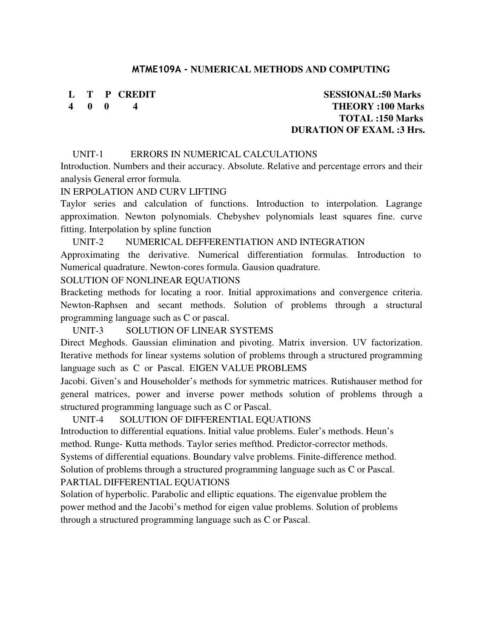#### **MTME109A - NUMERICAL METHODS AND COMPUTING**

# **L T P CREDIT SESSIONAL:50 Marks 4 0 0 4 THEORY :100 Marks TOTAL :150 Marks DURATION OF EXAM. :3 Hrs.**

#### UNIT-1 ERRORS IN NUMERICAL CALCULATIONS

Introduction. Numbers and their accuracy. Absolute. Relative and percentage errors and their analysis General error formula.

#### IN ERPOLATION AND CURV LIFTING

Taylor series and calculation of functions. Introduction to interpolation. Lagrange approximation. Newton polynomials. Chebyshev polynomials least squares fine. curve fitting. Interpolation by spline function

#### UNIT-2 NUMERICAL DEFFERENTIATION AND INTEGRATION

Approximating the derivative. Numerical differentiation formulas. Introduction to Numerical quadrature. Newton-cores formula. Gausion quadrature.

#### SOLUTION OF NONLINEAR EQUATIONS

Bracketing methods for locating a roor. Initial approximations and convergence criteria. Newton-Raphsen and secant methods. Solution of problems through a structural programming language such as C or pascal.

#### UNIT-3 SOLUTION OF LINEAR SYSTEMS

Direct Meghods. Gaussian elimination and pivoting. Matrix inversion. UV factorization. Iterative methods for linear systems solution of problems through a structured programming language such as C or Pascal. EIGEN VALUE PROBLEMS

Jacobi. Given's and Householder's methods for symmetric matrices. Rutishauser method for general matrices, power and inverse power methods solution of problems through a structured programming language such as C or Pascal.

#### UNIT-4 SOLUTION OF DIFFERENTIAL EQUATIONS

Introduction to differential equations. Initial value problems. Euler's methods. Heun's method. Runge- Kutta methods. Taylor series mefthod. Predictor-corrector methods. Systems of differential equations. Boundary valve problems. Finite-difference method. Solution of problems through a structured programming language such as C or Pascal. PARTIAL DIFFERENTIAL EQUATIONS

Solation of hyperbolic. Parabolic and elliptic equations. The eigenvalue problem the power method and the Jacobi's method for eigen value problems. Solution of problems through a structured programming language such as C or Pascal.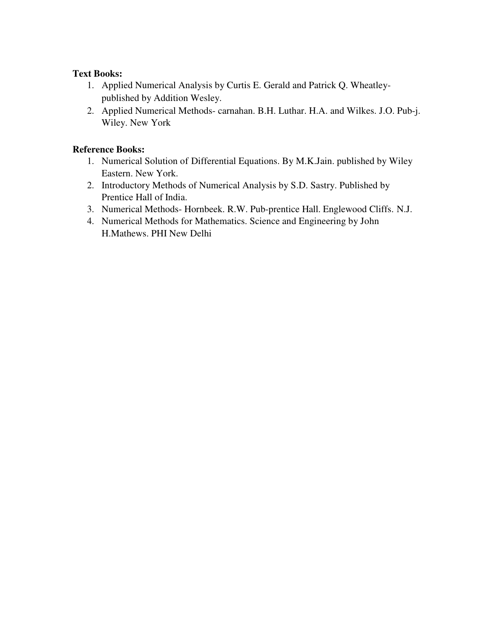# **Text Books:**

- 1. Applied Numerical Analysis by Curtis E. Gerald and Patrick Q. Wheatleypublished by Addition Wesley.
- 2. Applied Numerical Methods- carnahan. B.H. Luthar. H.A. and Wilkes. J.O. Pub-j. Wiley. New York

# **Reference Books:**

- 1. Numerical Solution of Differential Equations. By M.K.Jain. published by Wiley Eastern. New York.
- 2. Introductory Methods of Numerical Analysis by S.D. Sastry. Published by Prentice Hall of India.
- 3. Numerical Methods- Hornbeek. R.W. Pub-prentice Hall. Englewood Cliffs. N.J.
- 4. Numerical Methods for Mathematics. Science and Engineering by John H.Mathews. PHI New Delhi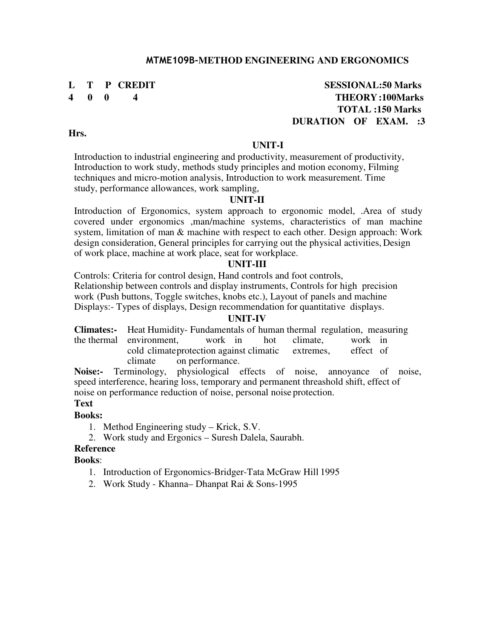# **L T P CREDIT SESSIONAL:50 Marks 4 0 0 4 THEORY :100Marks TOTAL :150 Marks DURATION OF EXAM. :3**

**Hrs.** 

#### **UNIT-I**

Introduction to industrial engineering and productivity, measurement of productivity, Introduction to work study, methods study principles and motion economy, Filming techniques and micro-motion analysis, Introduction to work measurement. Time study, performance allowances, work sampling,

### **UNIT-II**

Introduction of Ergonomics, system approach to ergonomic model, .Area of study covered under ergonomics ,man/machine systems, characteristics of man machine system, limitation of man & machine with respect to each other. Design approach: Work design consideration, General principles for carrying out the physical activities, Design of work place, machine at work place, seat for workplace.

#### **UNIT-III**

Controls: Criteria for control design, Hand controls and foot controls, Relationship between controls and display instruments, Controls for high precision work (Push buttons, Toggle switches, knobs etc.), Layout of panels and machine Displays:- Types of displays, Design recommendation for quantitative displays.

#### **UNIT-IV**

**Climates:-** Heat Humidity- Fundamentals of human thermal regulation, measuring the thermal environment, work in hot climate, work in cold climate rotection against climatic extremes. effect of cold climate protection against climatic climate on performance.

**Noise:-** Terminology, physiological effects of noise, annoyance of noise, speed interference, hearing loss, temporary and permanent threashold shift, effect of noise on performance reduction of noise, personal noise protection.

## **Text**

#### **Books:**

- 1. Method Engineering study Krick, S.V.
- 2. Work study and Ergonics Suresh Dalela, Saurabh.

# **Reference**

#### **Books**:

- 1. Introduction of Ergonomics-Bridger-Tata McGraw Hill 1995
- 2. Work Study Khanna– Dhanpat Rai & Sons-1995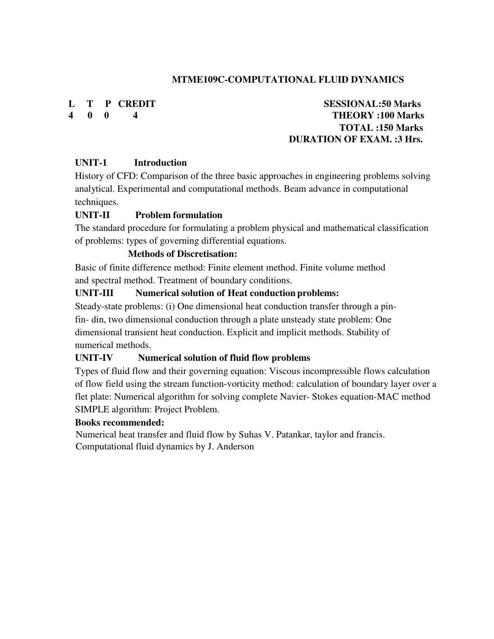# **MTME109C-COMPUTATIONAL FLUID DYNAMICS**

# **L T P CREDIT SESSIONAL:50 Marks 4 0 0 4 THEORY :100 Marks TOTAL :150 Marks DURATION OF EXAM. :3 Hrs.**

# **UNIT-1 Introduction**

History of CFD: Comparison of the three basic approaches in engineering problems solving analytical. Experimental and computational methods. Beam advance in computational techniques.

# **UNIT-II Problem formulation**

The standard procedure for formulating a problem physical and mathematical classification of problems: types of governing differential equations.

# **Methods of Discretisation:**

Basic of finite difference method: Finite element method. Finite volume method and spectral method. Treatment of boundary conditions.

# **UNIT-III Numerical solution of Heat conduction problems:**

Steady-state problems: (i) One dimensional heat conduction transfer through a pinfin- din, two dimensional conduction through a plate unsteady state problem: One dimensional transient heat conduction. Explicit and implicit methods. Stability of numerical methods.

# **UNIT-IV Numerical solution of fluid flow problems**

Types of fluid flow and their governing equation: Viscous incompressible flows calculation of flow field using the stream function-vorticity method: calculation of boundary layer over a flet plate: Numerical algorithm for solving complete Navier- Stokes equation-MAC method SIMPLE algorithm: Project Problem.

# **Books recommended:**

Numerical heat transfer and fluid flow by Suhas V. Patankar, taylor and francis. Computational fluid dynamics by J. Anderson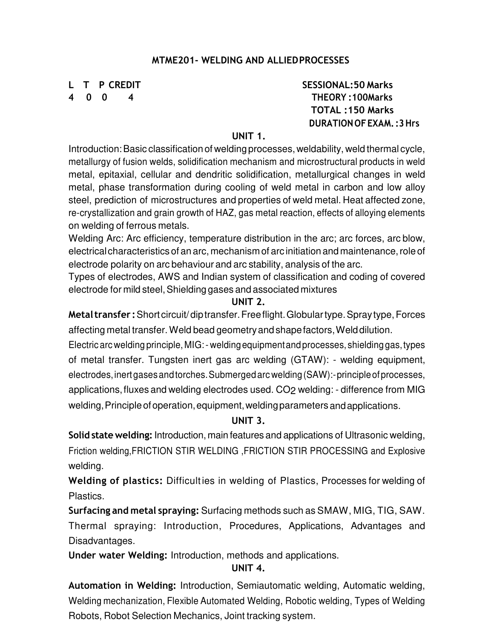# **MTME201- WELDING AND ALLIED PROCESSES**

**L T P CREDIT SESSIONAL:50 Marks 4 0 0 4 THEORY :100Marks TOTAL :150 Marks DURATION OF EXAM. :3 Hrs**

# **UNIT 1.**

Introduction: Basic classification of welding processes, weldability, weld thermal cycle, metallurgy of fusion welds, solidification mechanism and microstructural products in weld metal, epitaxial, cellular and dendritic solidification, metallurgical changes in weld metal, phase transformation during cooling of weld metal in carbon and low alloy steel, prediction of microstructures and properties of weld metal. Heat affected zone, re-crystallization and grain growth of HAZ, gas metal reaction, effects of alloying elements on welding of ferrous metals.

Welding Arc: Arc efficiency, temperature distribution in the arc; arc forces, arc blow, electrical characteristics of an arc, mechanism of arc initiation and maintenance, role of electrode polarity on arc behaviour and arc stability, analysis of the arc.

Types of electrodes, AWS and Indian system of classification and coding of covered electrode for mild steel, Shielding gases and associated mixtures

# **UNIT 2.**

**Metal transfer :** Short circuit/ dip transfer. Free flight. Globular type. Spray type, Forces affecting metal transfer. Weld bead geometry and shape factors, Weld dilution.

Electric arc welding principle, MIG: - welding equipment and processes, shielding gas, types of metal transfer. Tungsten inert gas arc welding (GTAW): - welding equipment, electrodes, inert gases and torches. Submerged arc welding (SAW):- principle of processes, applications, fluxes and welding electrodes used. CO2 welding: - difference from MIG welding, Principle of operation, equipment, welding parameters and applications.

# **UNIT 3.**

**Solid state welding:** Introduction, main features and applications of Ultrasonic welding, Friction welding,FRICTION STIR WELDING ,FRICTION STIR PROCESSING and Explosive welding.

**Welding of plastics:** Difficult ies in welding of Plastics, Processes for welding of Plastics.

**Surfacing and metal spraying:** Surfacing methods such as SMAW, MIG, TIG, SAW. Thermal spraying: Introduction, Procedures, Applications, Advantages and Disadvantages.

**Under water Welding:** Introduction, methods and applications.

# **UNIT 4.**

**Automation in Welding:** Introduction, Semiautomatic welding, Automatic welding, Welding mechanization, Flexible Automated Welding, Robotic welding, Types of Welding Robots, Robot Selection Mechanics, Joint tracking system.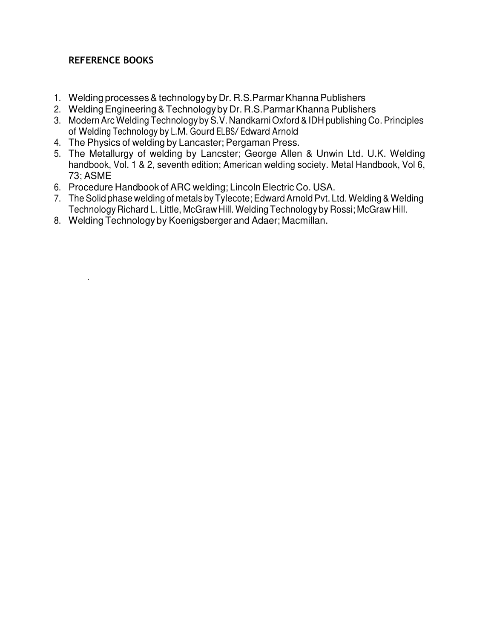# **REFERENCE BOOKS**

.

- 1. Welding processes & technology by Dr. R.S.Parmar Khanna Publishers
- 2. Welding Engineering & Technology by Dr. R.S.Parmar Khanna Publishers
- 3. Modern Arc Welding Technology by S.V. Nandkarni Oxford & IDH publishing Co. Principles of Welding Technology by L.M. Gourd ELBS/ Edward Arnold
- 4. The Physics of welding by Lancaster; Pergaman Press.
- 5. The Metallurgy of welding by Lancster; George Allen & Unwin Ltd. U.K. Welding handbook, Vol. 1 & 2, seventh edition; American welding society. Metal Handbook, Vol 6, 73; ASME
- 6. Procedure Handbook of ARC welding; Lincoln Electric Co. USA.
- 7. The Solid phase welding of metals by Tylecote; Edward Arnold Pvt. Ltd. Welding & Welding Technology Richard L. Little, McGraw Hill. Welding Technology by Rossi; McGraw Hill.
- 8. Welding Technology by Koenigsberger and Adaer; Macmillan.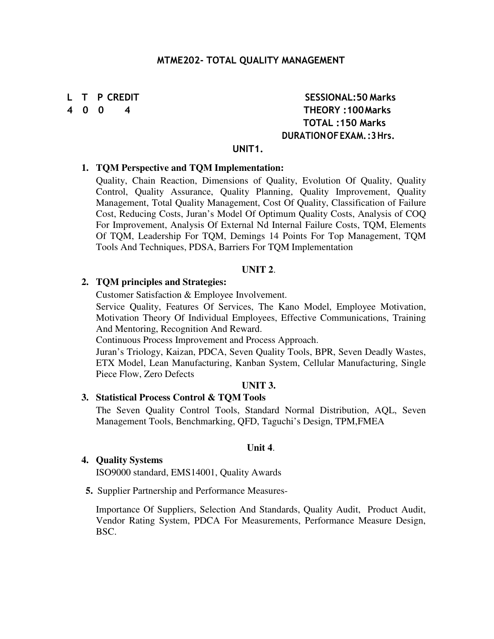#### **MTME202- TOTAL QUALITY MANAGEMENT**

# **L T P CREDIT SESSIONAL:50 Marks 4 0 0 4 THEORY :100 Marks TOTAL :150 Marks DURATION OF EXAM. :3 Hrs.**

#### **UNIT1.**

#### **1. TQM Perspective and TQM Implementation:**

Quality, Chain Reaction, Dimensions of Quality, Evolution Of Quality, Quality Control, Quality Assurance, Quality Planning, Quality Improvement, Quality Management, Total Quality Management, Cost Of Quality, Classification of Failure Cost, Reducing Costs, Juran's Model Of Optimum Quality Costs, Analysis of COQ For Improvement, Analysis Of External Nd Internal Failure Costs, TQM, Elements Of TQM, Leadership For TQM, Demings 14 Points For Top Management, TQM Tools And Techniques, PDSA, Barriers For TQM Implementation

#### **UNIT 2**.

#### **2. TQM principles and Strategies:**

Customer Satisfaction & Employee Involvement.

Service Quality, Features Of Services, The Kano Model, Employee Motivation, Motivation Theory Of Individual Employees, Effective Communications, Training And Mentoring, Recognition And Reward.

Continuous Process Improvement and Process Approach.

Juran's Triology, Kaizan, PDCA, Seven Quality Tools, BPR, Seven Deadly Wastes, ETX Model, Lean Manufacturing, Kanban System, Cellular Manufacturing, Single Piece Flow, Zero Defects

### **UNIT 3.**

#### **3. Statistical Process Control & TQM Tools**

The Seven Quality Control Tools, Standard Normal Distribution, AQL, Seven Management Tools, Benchmarking, QFD, Taguchi's Design, TPM,FMEA

#### **Unit 4**.

#### **4. Quality Systems**

ISO9000 standard, EMS14001, Quality Awards

**5.** Supplier Partnership and Performance Measures-

Importance Of Suppliers, Selection And Standards, Quality Audit, Product Audit, Vendor Rating System, PDCA For Measurements, Performance Measure Design, BSC.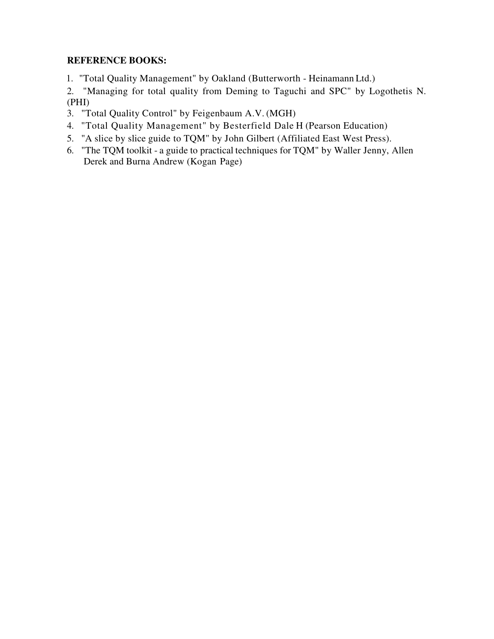# **REFERENCE BOOKS:**

1. "Total Quality Management" by Oakland (Butterworth - Heinamann Ltd.)

2. "Managing for total quality from Deming to Taguchi and SPC" by Logothetis N. (PHI)

- 3. "Total Quality Control" by Feigenbaum A.V. (MGH)
- 4. "Total Quality Management" by Besterfield Dale H (Pearson Education)
- 5. "A slice by slice guide to TQM" by John Gilbert (Affiliated East West Press).
- 6. "The TQM toolkit a guide to practical techniques for TQM" by Waller Jenny, Allen Derek and Burna Andrew (Kogan Page)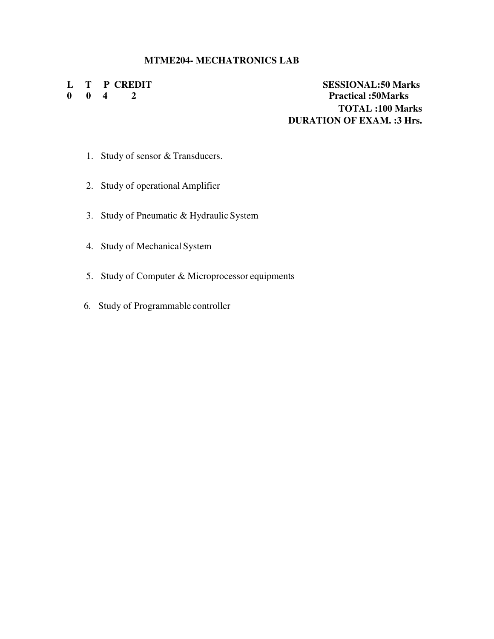#### **MTME204- MECHATRONICS LAB**

**L T P CREDIT SESSIONAL:50 Marks 0 0 4 2 Practical :50Marks TOTAL :100 Marks DURATION OF EXAM. :3 Hrs.** 

- 1. Study of sensor & Transducers.
- 2. Study of operational Amplifier
- 3. Study of Pneumatic & Hydraulic System
- 4. Study of Mechanical System
- 5. Study of Computer & Microprocessor equipments
- 6. Study of Programmable controller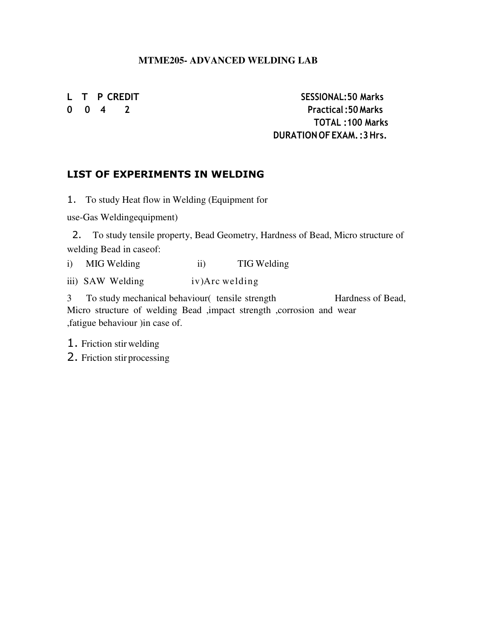# **MTME205- ADVANCED WELDING LAB**

L T P CREDIT SESSIONAL:50 Marks **0 0 4 2 Practical :50 Marks TOTAL :100 Marks DURATION OF EXAM. :3 Hrs.**

# **LIST OF EXPERIMENTS IN WELDING**

1. To study Heat flow in Welding (Equipment for

use-Gas Welding equipment)

2. To study tensile property, Bead Geometry, Hardness of Bead, Micro structure of welding Bead in case of:

i) MIG Welding ii) TIG Welding

iii) SAW Welding iv)Arc welding

3 To study mechanical behaviour( tensile strength Hardness of Bead, Micro structure of welding Bead ,impact strength ,corrosion and wear ,fatigue behaviour )in case of.

1. Friction stir welding

2. Friction stir processing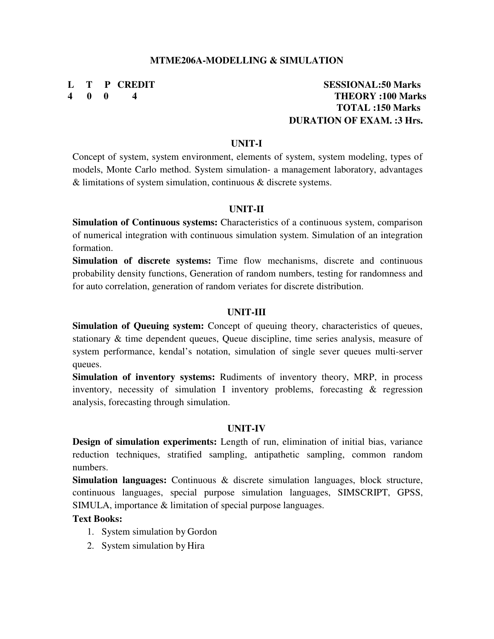#### **MTME206A-MODELLING & SIMULATION**

# **L T P CREDIT SESSIONAL:50 Marks 4 0 0 4 THEORY :100 Marks TOTAL :150 Marks DURATION OF EXAM. :3 Hrs.**

#### **UNIT-I**

Concept of system, system environment, elements of system, system modeling, types of models, Monte Carlo method. System simulation- a management laboratory, advantages & limitations of system simulation, continuous & discrete systems.

#### **UNIT-II**

**Simulation of Continuous systems:** Characteristics of a continuous system, comparison of numerical integration with continuous simulation system. Simulation of an integration formation.

**Simulation of discrete systems:** Time flow mechanisms, discrete and continuous probability density functions, Generation of random numbers, testing for randomness and for auto correlation, generation of random veriates for discrete distribution.

#### **UNIT-III**

**Simulation of Queuing system:** Concept of queuing theory, characteristics of queues, stationary & time dependent queues, Queue discipline, time series analysis, measure of system performance, kendal's notation, simulation of single sever queues multi-server queues.

**Simulation of inventory systems:** Rudiments of inventory theory, MRP, in process inventory, necessity of simulation I inventory problems, forecasting & regression analysis, forecasting through simulation.

#### **UNIT-IV**

**Design of simulation experiments:** Length of run, elimination of initial bias, variance reduction techniques, stratified sampling, antipathetic sampling, common random numbers.

**Simulation languages:** Continuous & discrete simulation languages, block structure, continuous languages, special purpose simulation languages, SIMSCRIPT, GPSS, SIMULA, importance & limitation of special purpose languages.

#### **Text Books:**

- 1. System simulation by Gordon
- 2. System simulation by Hira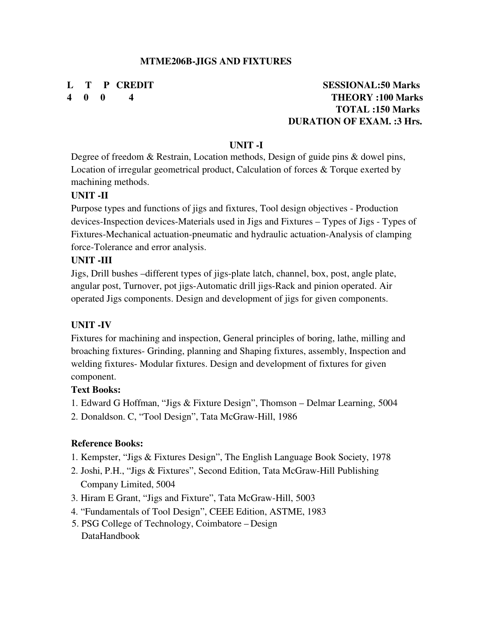# **L T P CREDIT SESSIONAL:50 Marks 4 0 0 4 THEORY :100 Marks TOTAL :150 Marks DURATION OF EXAM. :3 Hrs.**

#### **UNIT -I**

Degree of freedom & Restrain, Location methods, Design of guide pins & dowel pins, Location of irregular geometrical product, Calculation of forces & Torque exerted by machining methods.

#### **UNIT -II**

Purpose types and functions of jigs and fixtures, Tool design objectives - Production devices-Inspection devices-Materials used in Jigs and Fixtures – Types of Jigs - Types of Fixtures-Mechanical actuation-pneumatic and hydraulic actuation-Analysis of clamping force-Tolerance and error analysis.

#### **UNIT -III**

Jigs, Drill bushes –different types of jigs-plate latch, channel, box, post, angle plate, angular post, Turnover, pot jigs-Automatic drill jigs-Rack and pinion operated. Air operated Jigs components. Design and development of jigs for given components.

#### **UNIT -IV**

Fixtures for machining and inspection, General principles of boring, lathe, milling and broaching fixtures- Grinding, planning and Shaping fixtures, assembly, Inspection and welding fixtures- Modular fixtures. Design and development of fixtures for given component.

#### **Text Books:**

- 1. Edward G Hoffman, "Jigs & Fixture Design", Thomson Delmar Learning, 5004
- 2. Donaldson. C, "Tool Design", Tata McGraw-Hill, 1986

#### **Reference Books:**

- 1. Kempster, "Jigs & Fixtures Design", The English Language Book Society, 1978
- 2. Joshi, P.H., "Jigs & Fixtures", Second Edition, Tata McGraw-Hill Publishing Company Limited, 5004
- 3. Hiram E Grant, "Jigs and Fixture", Tata McGraw-Hill, 5003
- 4. "Fundamentals of Tool Design", CEEE Edition, ASTME, 1983
- 5. PSG College of Technology, Coimbatore Design DataHandbook